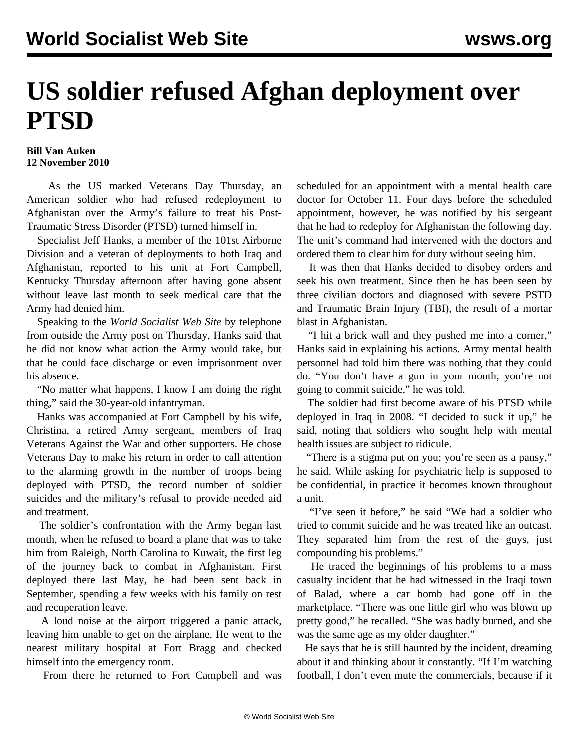## **US soldier refused Afghan deployment over PTSD**

## **Bill Van Auken 12 November 2010**

 As the US marked Veterans Day Thursday, an American soldier who had refused redeployment to Afghanistan over the Army's failure to treat his Post-Traumatic Stress Disorder (PTSD) turned himself in.

 Specialist Jeff Hanks, a member of the 101st Airborne Division and a veteran of deployments to both Iraq and Afghanistan, reported to his unit at Fort Campbell, Kentucky Thursday afternoon after having gone absent without leave last month to seek medical care that the Army had denied him.

 Speaking to the *World Socialist Web Site* by telephone from outside the Army post on Thursday, Hanks said that he did not know what action the Army would take, but that he could face discharge or even imprisonment over his absence.

 "No matter what happens, I know I am doing the right thing," said the 30-year-old infantryman.

 Hanks was accompanied at Fort Campbell by his wife, Christina, a retired Army sergeant, members of Iraq Veterans Against the War and other supporters. He chose Veterans Day to make his return in order to call attention to the alarming growth in the number of troops being deployed with PTSD, the record number of soldier suicides and the military's refusal to provide needed aid and treatment.

 The soldier's confrontation with the Army began last month, when he refused to board a plane that was to take him from Raleigh, North Carolina to Kuwait, the first leg of the journey back to combat in Afghanistan. First deployed there last May, he had been sent back in September, spending a few weeks with his family on rest and recuperation leave.

 A loud noise at the airport triggered a panic attack, leaving him unable to get on the airplane. He went to the nearest military hospital at Fort Bragg and checked himself into the emergency room.

From there he returned to Fort Campbell and was

scheduled for an appointment with a mental health care doctor for October 11. Four days before the scheduled appointment, however, he was notified by his sergeant that he had to redeploy for Afghanistan the following day. The unit's command had intervened with the doctors and ordered them to clear him for duty without seeing him.

 It was then that Hanks decided to disobey orders and seek his own treatment. Since then he has been seen by three civilian doctors and diagnosed with severe PSTD and Traumatic Brain Injury (TBI), the result of a mortar blast in Afghanistan.

 "I hit a brick wall and they pushed me into a corner," Hanks said in explaining his actions. Army mental health personnel had told him there was nothing that they could do. "You don't have a gun in your mouth; you're not going to commit suicide," he was told.

 The soldier had first become aware of his PTSD while deployed in Iraq in 2008. "I decided to suck it up," he said, noting that soldiers who sought help with mental health issues are subject to ridicule.

 "There is a stigma put on you; you're seen as a pansy," he said. While asking for psychiatric help is supposed to be confidential, in practice it becomes known throughout a unit.

 "I've seen it before," he said "We had a soldier who tried to commit suicide and he was treated like an outcast. They separated him from the rest of the guys, just compounding his problems."

 He traced the beginnings of his problems to a mass casualty incident that he had witnessed in the Iraqi town of Balad, where a car bomb had gone off in the marketplace. "There was one little girl who was blown up pretty good," he recalled. "She was badly burned, and she was the same age as my older daughter."

 He says that he is still haunted by the incident, dreaming about it and thinking about it constantly. "If I'm watching football, I don't even mute the commercials, because if it